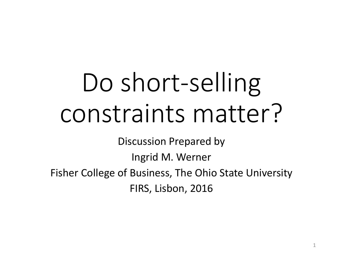# Do short-selling constraints matter?

Discussion Prepared by

Ingrid M. Werner

Fisher College of Business, The Ohio State University

FIRS, Lisbon, 2016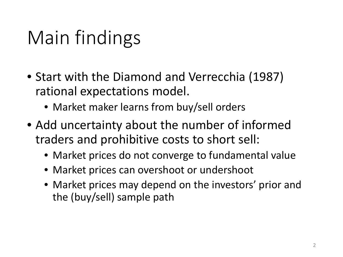## Main findings

- Start with the Diamond and Verrecchia (1987) rational expectations model.
	- Market maker learns from buy/sell orders
- Add uncertainty about the number of informed traders and prohibitive costs to short sell:
	- Market prices do not converge to fundamental value
	- Market prices can overshoot or undershoot
	- Market prices may depend on the investors' prior and the (buy/sell) sample path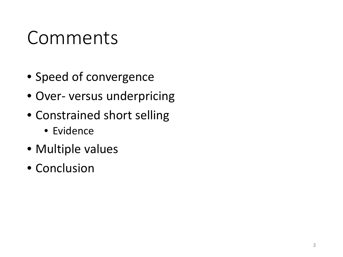## Comments

- Speed of convergence
- Over- versus underpricing
- Constrained short selling
	- Evidence
- Multiple values
- Conclusion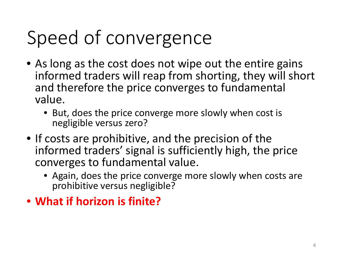# Speed of convergence

- As long as the cost does not wipe out the entire gains informed traders will reap from shorting, they will short and therefore the price converges to fundamental value.
	- But, does the price converge more slowly when cost is negligible versus zero?
- If costs are prohibitive, and the precision of the informed traders' signal is sufficiently high, the price converges to fundamental value.
	- Again, does the price converge more slowly when costs are prohibitive versus negligible?
- **What if horizon is finite?**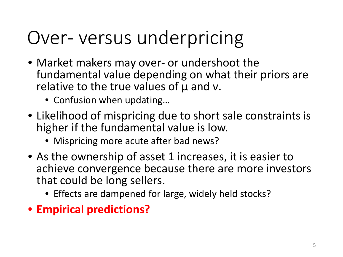## Over- versus underpricing

- Market makers may over- or undershoot the fundamental value depending on what their priors are relative to the true values of μ and ν.
	- Confusion when updating…
- Likelihood of mispricing due to short sale constraints is higher if the fundamental value is low.
	- Mispricing more acute after bad news?
- As the ownership of asset 1 increases, it is easier to achieve convergence because there are more investors that could be long sellers.
	- Effects are dampened for large, widely held stocks?
- **Empirical predictions?**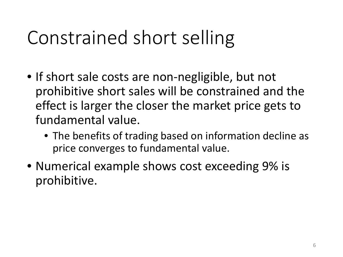## Constrained short selling

- If short sale costs are non-negligible, but not prohibitive short sales will be constrained and the effect is larger the closer the market price gets to fundamental value.
	- The benefits of trading based on information decline as price converges to fundamental value.
- Numerical example shows cost exceeding 9% is prohibitive.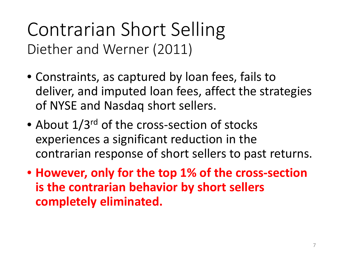#### Contrarian Short Selling Diether and Werner (2011)

- Constraints, as captured by loan fees, fails to deliver, and imputed loan fees, affect the strategies of NYSE and Nasdaq short sellers.
- About  $1/3^{rd}$  of the cross-section of stocks experiences a significant reduction in the contrarian response of short sellers to past returns.
- **However, only for the top 1% of the cross-section is the contrarian behavior by short sellers completely eliminated.**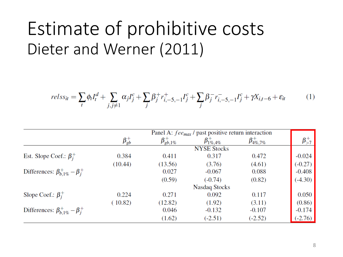### Estimate of prohibitive costs Dieter and Werner (2011)

$$
relss_{it} = \sum_{t} \phi_{t} I_{t}^{d} + \sum_{j,j \neq 1} \alpha_{j} I_{j}^{c} + \sum_{j} \beta_{j}^{+} r_{i,-5,-1}^{+} I_{j}^{c} + \sum_{j} \beta_{j}^{-} r_{i,-5,-1}^{-} I_{j}^{c} + \gamma X_{i,t-6} + \varepsilon_{it}
$$
(1)

|                                            | Panel A: $fee_{max}$ / past positive return interaction |                      |                        |                       |                |
|--------------------------------------------|---------------------------------------------------------|----------------------|------------------------|-----------------------|----------------|
|                                            | $\beta_{gb}^{+}$                                        | $\beta_{gb,1\%}^{+}$ | $\beta_{1\%, 4\%}^{+}$ | $\beta_{4\%,7\%}^{+}$ | $\beta_{>7}^+$ |
|                                            | <b>NYSE Stocks</b>                                      |                      |                        |                       |                |
| Est. Slope Coef.: $\beta_i^+$              | 0.384                                                   | 0.411                | 0.317                  | 0.472                 | $-0.024$       |
|                                            | (10.44)                                                 | (13.56)              | (3.76)                 | (4.61)                | $(-0.27)$      |
| Differences: $\beta_{b.1\%}^+ - \beta_i^+$ |                                                         | 0.027                | $-0.067$               | 0.088                 | $-0.408$       |
|                                            |                                                         | (0.59)               | $(-0.74)$              | (0.82)                | $(-4.30)$      |
|                                            |                                                         | <b>Nasdaq Stocks</b> |                        |                       |                |
| Slope Coef.: $\beta_i^+$                   | 0.224                                                   | 0.271                | 0.092                  | 0.117                 | 0.050          |
|                                            | (10.82)                                                 | (12.82)              | (1.92)                 | (3.11)                | (0.86)         |
| Differences: $\beta_{b,1\%}^+ - \beta_i^+$ |                                                         | 0.046                | $-0.132$               | $-0.107$              | $-0.174$       |
|                                            |                                                         | (1.62)               | $(-2.51)$              | $(-2.52)$             | $(-2.76)$      |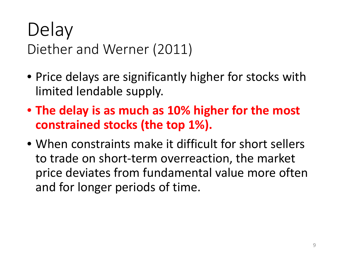#### Delay Diether and Werner (2011)

- Price delays are significantly higher for stocks with limited lendable supply.
- **The delay is as much as 10% higher for the most constrained stocks (the top 1%).**
- When constraints make it difficult for short sellers to trade on short-term overreaction, the market price deviates from fundamental value more often and for longer periods of time.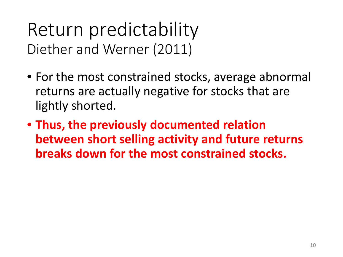#### Return predictability Diether and Werner (2011)

- For the most constrained stocks, average abnormal returns are actually negative for stocks that are lightly shorted.
- **Thus, the previously documented relation between short selling activity and future returns breaks down for the most constrained stocks.**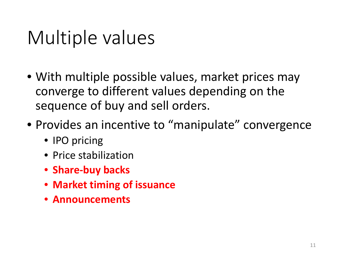## Multiple values

- With multiple possible values, market prices may converge to different values depending on the sequence of buy and sell orders.
- Provides an incentive to "manipulate" convergence
	- IPO pricing
	- Price stabilization
	- **Share-buy backs**
	- **Market timing of issuance**
	- **Announcements**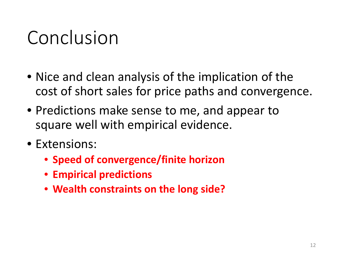## Conclusion

- Nice and clean analysis of the implication of the cost of short sales for price paths and convergence.
- Predictions make sense to me, and appear to square well with empirical evidence.
- Extensions:
	- **Speed of convergence/finite horizon**
	- **Empirical predictions**
	- **Wealth constraints on the long side?**